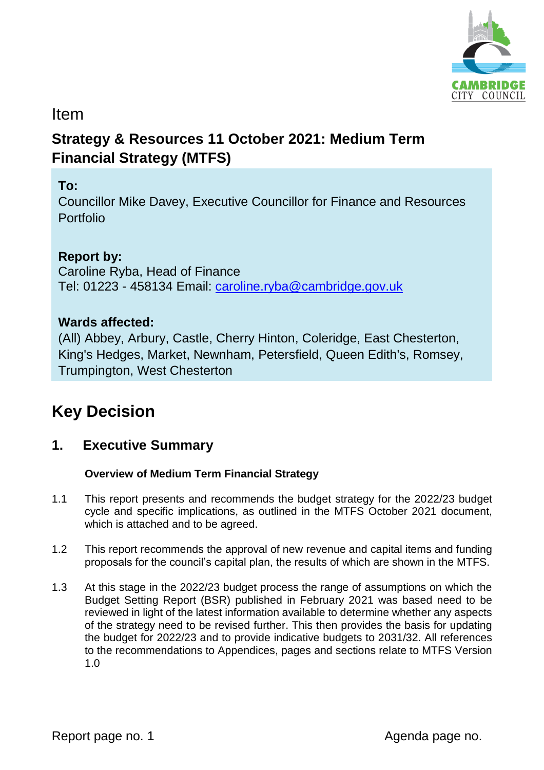

# Item

# **Strategy & Resources 11 October 2021: Medium Term Financial Strategy (MTFS)**

# **To:**

Councillor Mike Davey, Executive Councillor for Finance and Resources Portfolio

# **Report by:**

Caroline Ryba, Head of Finance Tel: 01223 - 458134 Email: [caroline.ryba@cambridge.gov.uk](mailto:caroline.ryba@cambridge.gov.uk)

### **Wards affected:**

(All) Abbey, Arbury, Castle, Cherry Hinton, Coleridge, East Chesterton, King's Hedges, Market, Newnham, Petersfield, Queen Edith's, Romsey, Trumpington, West Chesterton

# **Key Decision**

# **1. Executive Summary**

#### **Overview of Medium Term Financial Strategy**

- 1.1 This report presents and recommends the budget strategy for the 2022/23 budget cycle and specific implications, as outlined in the MTFS October 2021 document, which is attached and to be agreed.
- 1.2 This report recommends the approval of new revenue and capital items and funding proposals for the council's capital plan, the results of which are shown in the MTFS.
- 1.3 At this stage in the 2022/23 budget process the range of assumptions on which the Budget Setting Report (BSR) published in February 2021 was based need to be reviewed in light of the latest information available to determine whether any aspects of the strategy need to be revised further. This then provides the basis for updating the budget for 2022/23 and to provide indicative budgets to 2031/32. All references to the recommendations to Appendices, pages and sections relate to MTFS Version 1.0

Report page no. 1 and 1 and 2 and 2 and 2 and 2 and 2 and 2 and 2 and 2 and 2 and 2 and 2 and 2 and 2 and 2 and 2 and 2 and 2 and 2 and 2 and 2 and 2 and 2 and 2 and 2 and 2 and 2 and 2 and 2 and 2 and 2 and 2 and 2 and 2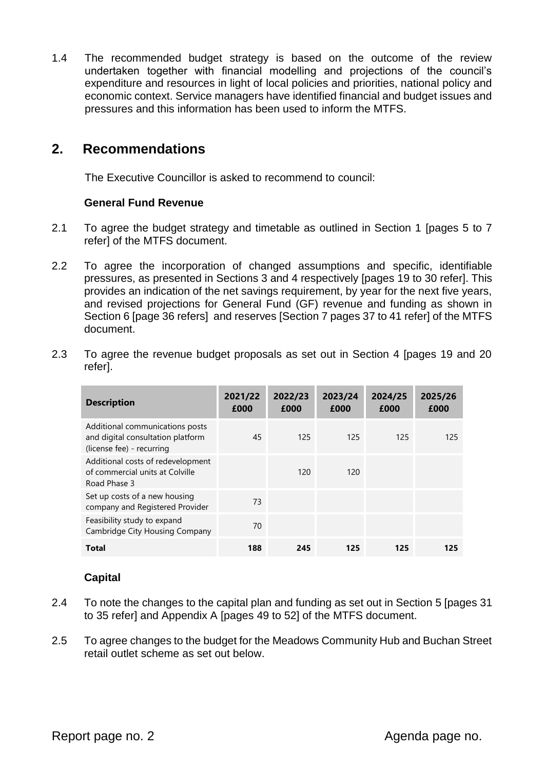1.4 The recommended budget strategy is based on the outcome of the review undertaken together with financial modelling and projections of the council's expenditure and resources in light of local policies and priorities, national policy and economic context. Service managers have identified financial and budget issues and pressures and this information has been used to inform the MTFS.

### **2. Recommendations**

The Executive Councillor is asked to recommend to council:

#### **General Fund Revenue**

- 2.1 To agree the budget strategy and timetable as outlined in Section 1 [pages 5 to 7 refer] of the MTFS document.
- 2.2 To agree the incorporation of changed assumptions and specific, identifiable pressures, as presented in Sections 3 and 4 respectively [pages 19 to 30 refer]. This provides an indication of the net savings requirement, by year for the next five years, and revised projections for General Fund (GF) revenue and funding as shown in Section 6 [page 36 refers] and reserves [Section 7 pages 37 to 41 refer] of the MTFS document.
- 2.3 To agree the revenue budget proposals as set out in Section 4 [pages 19 and 20 refer].

| <b>Description</b>                                                                                | 2021/22<br>£000 | 2022/23<br>£000 | 2023/24<br>£000 | 2024/25<br>£000 | 2025/26<br>£000 |
|---------------------------------------------------------------------------------------------------|-----------------|-----------------|-----------------|-----------------|-----------------|
| Additional communications posts<br>and digital consultation platform<br>(license fee) - recurring | 45              | 125             | 125             | 125             | 125             |
| Additional costs of redevelopment<br>of commercial units at Colville<br>Road Phase 3              |                 | 120             | 120             |                 |                 |
| Set up costs of a new housing<br>company and Registered Provider                                  | 73              |                 |                 |                 |                 |
| Feasibility study to expand<br>Cambridge City Housing Company                                     | 70              |                 |                 |                 |                 |
| Total                                                                                             | 188             | 245             | 125             | 125             | 125             |

#### **Capital**

- 2.4 To note the changes to the capital plan and funding as set out in Section 5 [pages 31 to 35 refer] and Appendix A [pages 49 to 52] of the MTFS document.
- 2.5 To agree changes to the budget for the Meadows Community Hub and Buchan Street retail outlet scheme as set out below.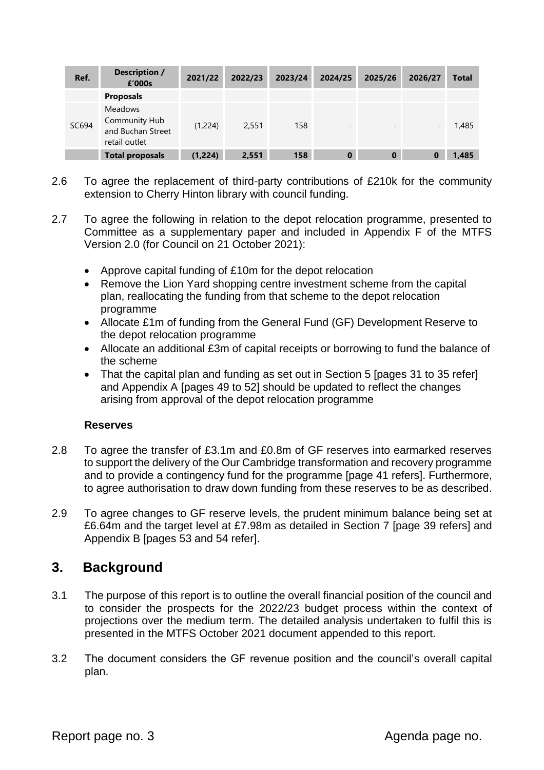| Ref.  | <b>Description /</b><br>£'000s                                        | 2021/22 | 2022/23 | 2023/24 | 2024/25                  | 2025/26                  | 2026/27 | <b>Total</b> |
|-------|-----------------------------------------------------------------------|---------|---------|---------|--------------------------|--------------------------|---------|--------------|
|       | <b>Proposals</b>                                                      |         |         |         |                          |                          |         |              |
| SC694 | <b>Meadows</b><br>Community Hub<br>and Buchan Street<br>retail outlet | (1,224) | 2,551   | 158     | $\overline{\phantom{a}}$ | $\overline{\phantom{0}}$ | -       | 1,485        |
|       | <b>Total proposals</b>                                                | (1,224) | 2,551   | 158     | $\bf{0}$                 | $\bf{0}$                 |         | 1,485        |

- 2.6 To agree the replacement of third-party contributions of £210k for the community extension to Cherry Hinton library with council funding.
- 2.7 To agree the following in relation to the depot relocation programme, presented to Committee as a supplementary paper and included in Appendix F of the MTFS Version 2.0 (for Council on 21 October 2021):
	- Approve capital funding of £10m for the depot relocation
	- Remove the Lion Yard shopping centre investment scheme from the capital plan, reallocating the funding from that scheme to the depot relocation programme
	- Allocate £1m of funding from the General Fund (GF) Development Reserve to the depot relocation programme
	- Allocate an additional £3m of capital receipts or borrowing to fund the balance of the scheme
	- That the capital plan and funding as set out in Section 5 [pages 31 to 35 refer] and Appendix A [pages 49 to 52] should be updated to reflect the changes arising from approval of the depot relocation programme

#### **Reserves**

- 2.8 To agree the transfer of £3.1m and £0.8m of GF reserves into earmarked reserves to support the delivery of the Our Cambridge transformation and recovery programme and to provide a contingency fund for the programme [page 41 refers]. Furthermore, to agree authorisation to draw down funding from these reserves to be as described.
- 2.9 To agree changes to GF reserve levels, the prudent minimum balance being set at £6.64m and the target level at £7.98m as detailed in Section 7 [page 39 refers] and Appendix B [pages 53 and 54 refer].

# **3. Background**

- 3.1 The purpose of this report is to outline the overall financial position of the council and to consider the prospects for the 2022/23 budget process within the context of projections over the medium term. The detailed analysis undertaken to fulfil this is presented in the MTFS October 2021 document appended to this report.
- 3.2 The document considers the GF revenue position and the council's overall capital plan.